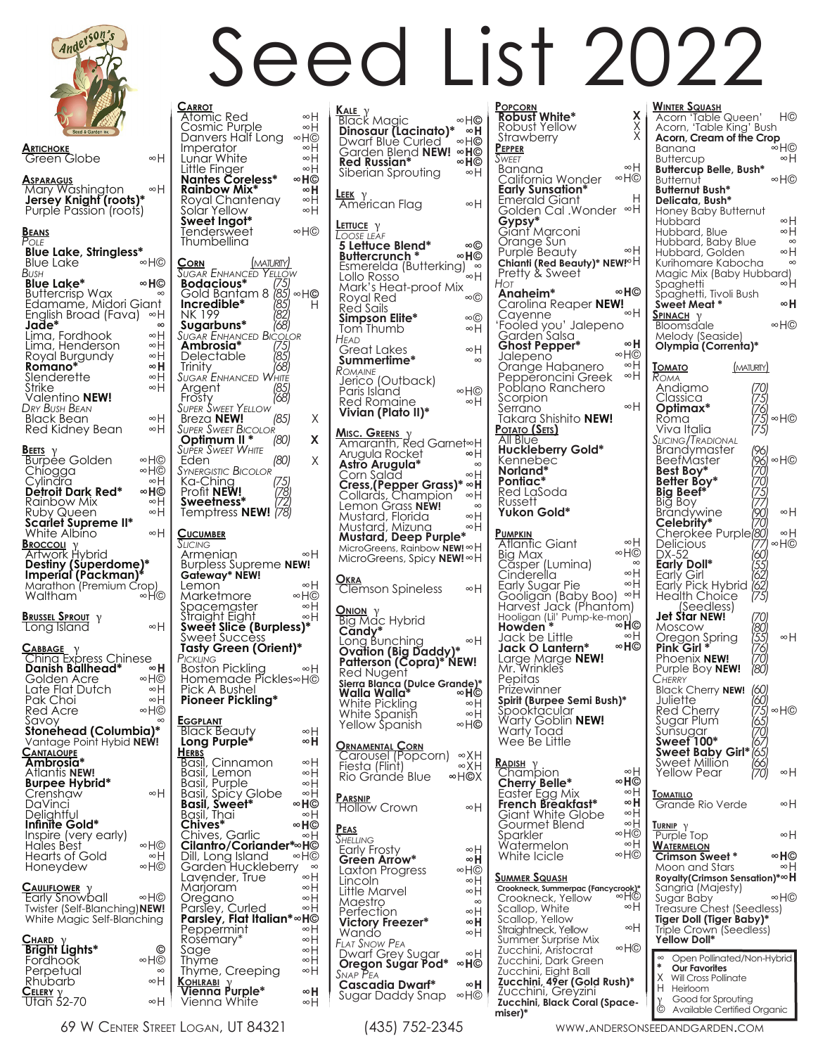

## **Artichoke** Green Globe **Asparagus** Mary Washington **Jersey Knight (roots)\***<br>Purple Passion (roots) **Beans** *Pole* **Blue Lake, Stringless\* Blue Lake** *Bush* **Blue Lake\***  Buttercrisp Wax Buttercrisp Wax<br>Edamame, Midori Giant English Broad (Fava) ∞H<br>**Jade\***<br>Lima, Fordhook ∞H Lima, Fordhook Lima, Henderson Royal Burgundy **Romano\*** Slenderette Strike Valentino **NEW!** *Dry Bush Bean* Black Bean Red Kidney Bean **BEETS** γ<br>Burpee Golden **Chiogga** Cylindi **Detroit Dark Red\***  Rainbow Mix Ruby Queen **Scarlet Supreme II\*** White Albino **BROCCOLI**<br>Artwork Hybrid **Destiny (Superdome)\* ImperiaI (Packman)\*** Marathon (Premium Crop) Waltham **Brussel Sprout** γ Long Island **Cabbage** γ China Express Chinese  **Danish Ballhead\***  Golden Acre Late Flat Dutch Pak Choi Red Acre Savoy **Stonehead (Columbia)\*** Vantage Point Hybid **NEW! Cantaloupe Ambrosia\*** Atlantis **NEW! Burpee Hybrid\*** Crenshaw DaVinci **Delightful Infinite Gold\*** Inspire (very early) Hales Best Hearts of Gold Honeydew **CAULIFLOWER** γ<br>Early Snowball Twister (Self-Blanching)**NEW!** White Magic Self-Blanching **Chard** <sup>γ</sup> **Bright Lights\*** Fordhook Perpetual ∞H ∞H ∞H© **∞H©** ∞H ∞H **∞H** ∞H ∞H ∞H ∞H ∞H© ∞H© ∞H  **∞H©** ∞H ∞H ∞H ∞H© ∞H  **∞H** ∞H© ∞H ∞H ∞H© ∞ ∞H ∞H© ∞H ∞H© ∞H© **©** ∞H© ∞

| <u>c</u><br><u>ARROT</u><br>Atomic Red<br><b>Cosmic Purple</b><br>Danvers Half Long<br>Imperator<br>Lunar White<br>Little Finger<br><b>Nantes Coreless*</b><br>Rainbow Mix*<br>Royal Chantenay<br>Soľar Yellow<br>Sweet Ingot*<br>Tendersweet<br>Thumbellina                                                                                        | ∞H<br>∞H<br>∞H©<br>∞H<br>∞H<br>∞H<br>∞H©<br>∞H<br>∞H<br>∞H<br>∞H©                         |
|-----------------------------------------------------------------------------------------------------------------------------------------------------------------------------------------------------------------------------------------------------------------------------------------------------------------------------------------------------|-------------------------------------------------------------------------------------------|
| (MATURITY)<br><u>Corn</u><br>Sugar Enhançed<br>Yellov<br>Bodacious*<br>(75)<br>(8 <sup>1</sup><br>Gold Bantam 8<br>$(8^5$<br>Incredible*<br>NK 199<br>Sugarbuns*<br><b>SUGAR ENHANCED BIC</b><br>:OLOR<br>Ambrosia*<br>78 <sup>1</sup><br>Delectable<br>Trinity<br>(68)<br>Sugar <sup>'</sup> Enhanced<br>Vhite<br>185,<br>Argent<br>Frosty<br>(68) | ∞H©                                                                                       |
| Sweet Yellov<br>Super<br><b>Breza NEW!</b><br>(85)                                                                                                                                                                                                                                                                                                  | Χ                                                                                         |
| <b>SUPER SWEET BICOLOR</b><br>Optimum II<br>*<br>(80)                                                                                                                                                                                                                                                                                               | X                                                                                         |
| <b>SUPER SWEET WHITE</b><br>Eden<br>(80)                                                                                                                                                                                                                                                                                                            | X                                                                                         |
| <b>SYNERGISTIC BICOLOR</b><br>(75)<br>Ka-Ching<br>Profit <b>NEW!</b><br>Sweetness*<br>17.<br>Temptress NEW!                                                                                                                                                                                                                                         |                                                                                           |
| <u>Cucumber</u><br>SLICING                                                                                                                                                                                                                                                                                                                          |                                                                                           |
| Armenian<br><b>Burpless Supreme NEW!</b>                                                                                                                                                                                                                                                                                                            | ∞H                                                                                        |
| Gateway* NEW!<br>Lemon<br>Marketmore<br>ipacemaster<br>Straight Eight<br>Sweet Slice (Burpless)*<br>Sweet Success<br>Tasty Green (Orient)*<br>PICKLING<br><b>Boston Pickling</b><br>Homemade Píckles∞H©<br>Pick A Bushel                                                                                                                            | ∞H<br>∞H©<br>∞H<br>∞H<br>∞H                                                               |
| Pioneer Pickling*                                                                                                                                                                                                                                                                                                                                   |                                                                                           |
| <u>Eggplant</u><br>Black Beauty<br>Long Purple*                                                                                                                                                                                                                                                                                                     | ∞H<br>∞H                                                                                  |
| <b>HERBS</b><br>Basil, Cinnamon<br>Basil, Lemon<br>Basil, Burna<br>Basil, Purple<br>Spicy Globe<br>Basil, Spicy C<br><b>Basil, Sweet*</b><br>Basil, Thai<br>Chives*<br>hives, Garlic!<br>L<br>Cilantro/Coriander*~Ho<br>Dill, Long Island<br>Garden Huckleberry<br>Lavender, True<br>Marjoram<br>Oregano<br>Parsley, Curled<br>C                    | ∞H<br>∞H<br>∞H<br>∞H<br>∞H©<br>∞H<br>∞H©<br>∞H<br>∞H©<br>$\infty$<br>∞H<br>∞H<br>∞H<br>∞H |
| Parsley, Flat Italian*∞H©<br>Peppérmint                                                                                                                                                                                                                                                                                                             | ∞H                                                                                        |
| Kosemary*<br>Sage                                                                                                                                                                                                                                                                                                                                   | ∞H<br>∞H                                                                                  |
| <u>I</u> hyme<br>Thyme,<br>Creeping<br><u>Kohlrabi</u><br>)<br>Purple*                                                                                                                                                                                                                                                                              | ∞H<br>∞H                                                                                  |

| <b>Κ<u>ΑΙΕ</u> γ</b><br>ΒΙας ΚΜαgiς<br>∞H©<br><b>Dinosaur (Lacinato)*</b><br>Dwarf Blue Curled<br>∞H<br>∞H©<br>Garden Blend NEW!<br>∞H©<br><b>Red Russian*</b><br>∞H©<br>∞H<br>Siberian Sprouting                                                                                                                                                                                                     |
|-------------------------------------------------------------------------------------------------------------------------------------------------------------------------------------------------------------------------------------------------------------------------------------------------------------------------------------------------------------------------------------------------------|
| <b>LEEK</b><br><u>.εεκ</u> γ<br>American Flag<br>∞H                                                                                                                                                                                                                                                                                                                                                   |
| <u>Lettuce</u> γ<br>Loose leaf<br>5 Lettuce Blend*<br>∞©<br>Buttercrunch*<br>∞H©<br>Esmerelda (Butterking)<br>Lollo Rosso<br>∞H<br>Mark's Heat-proof Mix<br>Royal Red<br>∞©<br>Red Sails<br>Simpson Elite*<br>∞©<br>Tom Thumb<br>∞H<br>Head<br>Great Lakes<br>∞H<br>Summerlime*<br>$\infty$<br>Romaine<br>Jerico (Outback)<br>Paris Island<br>Red Romaine<br>$\otimes$ H©<br>∞H<br>Vivian (Plato II)* |
| <u>Misc. Greens</u> γ<br>Amaranth, Red Garnet∞H<br>Arugula Rocket<br>∞H<br>Astro Arugula*<br>$\infty$<br>Corn Salad<br>∞H<br>Cress, (Pepper Grass)*<br>Collards, Champion<br>∞H<br>∞H<br>Lemon Grass <b>NEW!</b><br>$\infty$<br>∞H<br>Mustard, Florida<br>Mustard, Mizuna<br>∞H<br>Mustard, Deep Purple*<br>MicroGreens, Rainbow NEW!∞H<br>MicroGreens, Spicy NEW!∞H                                  |
| <b>OKRA</b><br><b>Clemson Spineless</b><br>∞H                                                                                                                                                                                                                                                                                                                                                         |
| <b>ONION</b> Y<br>Big Mac Hybrid<br>Candy*<br>Long Bunching<br>∞H<br>Ovation (Big Daddy)*<br>Patterson (Copra)* NEW!<br>Red Nugent<br>Sierra Blanca (Dulce Grande)*<br>Walla Walla*<br>∞H©<br>White Pickling<br>∞H<br>White Spanish<br>∞H<br>Yellow Spanish<br>∞H©<br>ORNAMENTAL CORN<br>Carousel (Popcorn) ∞XH<br>Fiesta (Flint)<br>∞XH<br>∞H©X<br>Rio Grande Blue                                   |
| <b>Parsnip</b><br>Hollow Crown<br>∞H                                                                                                                                                                                                                                                                                                                                                                  |
| PEAS<br><b>S</b> HELLING<br>Early Frosty<br>∞H<br>Green Arrow*<br>∞H<br>Laxton Progress<br>∞H©<br>∞H<br>Lincoln<br>Little Marvel<br>∞H<br>Maestro<br>$\infty$<br>∞H<br>Perfection<br>Victory Freezer*<br>∞H<br>∞H<br>Wando<br>FLAT SNOW PEA<br>Dwarf Grey Sugar<br>∞H<br>Oregon Sugar Pod*<br>∞H©<br>Snap Pea<br><b>Cascadia Dwarf*</b><br>Sugar Daddy Snap<br>∞H<br>∞H©                              |

**Popcorn Robust White\*** Robust Yellow **Strawberry Pepper** *Sweet* Banana California Wonder **Early Sunsation\*** Emerald Giant Golden Cal .Wonder  **Gypsy\*** Giant Marconi Orange Sun Purple Beauty Chianti (Red Beauty)<sup>\*</sup> NEW<sup>∞H</sup> Pretty & Sweet *Hot* **Anaheim\***  Carolina Reaper **NEW!** Cayenne 'Fooled you' Jalepeno Garden Salsa  **Ghost Pepper\*** Jalepeno Orange Habanero Pepperoncini Greek Poblano Ranchero **Scorpion**  Serrano Takara Shishito **NEW! Potato (Sets)**<br>All Blue **Huckleberry Gold\*** Kennebec **Norland\* Pontiac\*** Red LaSoda Russett **Yukon Gold\* Pumpkin** Atlantic Giant Big Max Căsper (Lumina)<br>Cinderella Early Sugar Pie Gooligan (Baby Boo) Harvest Jack (Phantom) Hooligan (Lil' Pump-ke-mon) **Howden \*** Jack be Little **Jack O Lantern\*** Large Marge **NEW!** Mr. Wrinkles Pepitas Prizewinner **Spirit (Burpee Semi Bush)\***  Spooktacular Warty Goblin **NEW!** Warty Toad Wee Be Little **Rapish**<br>Champion<br>**Cherry Belle\***  Easter Egg Mix **French Breakfast\*** Giant White Globe Gourmet Blend Sparkler Watermelon White Icicle **Summer Squash Crookneck, Summerpac (Fancycrook)\*** Crookneck, Yellow ∞H© Scallop, White Scallop, Yellow Straightneck, Yellow Summer Surprise Mix Zucchini, Aristocrat Zucchini, Dark Green Zucchini, Eight Ball **Zucchini, 49er (Gold Rush)\*** Zucchini, Greyzini **Zucchini, Black Coral (Spacemiser)\*** ∞H ∞H© H ∞H ∞H **∞H©** ∞H  **∞H** ∞H© ∞H ∞H ∞H ∞H ∞H© ∞ ∞H ∞H ∞H **∞H©** ∞H **∞H©** ∞H **∞H©** ∞H **∞H** ∞H ∞H ∞H© ∞H ∞H© ∞H ∞H ∞H©

**Winter Squash** Acorn 'Table Queen' Acorn, 'Table King' Bush  **Acorn, Cream of the Crop** Banana **Buttercup Buttercup Belle, Bush\* Butternut Butternut Bush\* Delicata, Bush\*** Honey Baby Butternut **Hubbard**  Hubbard, Blue Hubbard, Baby Blue Hubbard, Golden Kurihomare Kabocha Magic Mix (Baby Hubbard) Spaghetti ∞H Spaghetti, Tivoli Bush **Sweet Meat \* Spinach** γ<br>Bloomsdale Melody (Seaside) **Olympia (Correnta)\* Tomato** *Roma* Andiamo Classica **Optimax\*** Roma Viva Italia *Slicing/Tradional* Brandymaster BeefMaster **Best Boy\* Better Boy\* Big Beef** Big Boy<br>Brandywine Brandywine<br>**Celebrity\***<br>Cherokee Purple<br>DX-52\_ ... **Early Doll\*** Early Girl Early Pick Hybrid Health Choice (Seedless) **Jet Star NEW!** Moscow Oregon Spring **Pink Girl \*** Phoenix **NEW!** Purple Boy **NEW!** *Cherry* Black Cherry **NEW!** Juliette Red Cherry Sugar Plum Sunsugar **Sweet 100\* Sweet Baby Girl\***  *(65) (66) (70)* weet Million Yellow Pear **TOMATILLO** Grande Rio Verde **Turnir** γ<br>Purple Top **Watermelon Crimson Sweet \*** Moon and Stars **Royalty(Crimson Sensation)\* ∞H** Sangria (Majesty) Sugar Baby Treasure Chest (Seedless) **Tiger Doll (Tiger Baby)\*** Triple Crown (Seedless)  **Yellow Doll\*** H© ∞H© ∞H ∞H© ∞H ∞<br>⊬∞<br>∞ **∞H** ∞H© ∞H© ∞H© ∞H ∞H ∞H© ∞H ∞H© ∞H ∞H ∞H  **∞H©** ∞H ∞H© **X** X X (MATURITY)  *(70) (75) (76) (75) (75) (96) (96) (70) (70) (75) (77) (90) (70) (80) (77) (60) (55) (62) (62) (75) (70) (80) (55) (76) (70) (80) (60) (60) (75) (65) (70) (67)* Seed List 2022 Open Pollinated/Non-Hybrid<br>**Our Favorites** X Will Cross Pollinate<br>H Heirloom Heirloom γ Good for Sprouting<br>© Available Certified ( Available Certified Organic

69 W Center Street Logan, UT 84321 (435) 752-2345 www.andersonseedandgarden.com

 ∞H ∞H

**Rhubarb CELERY** γ<br>Utah 52-70